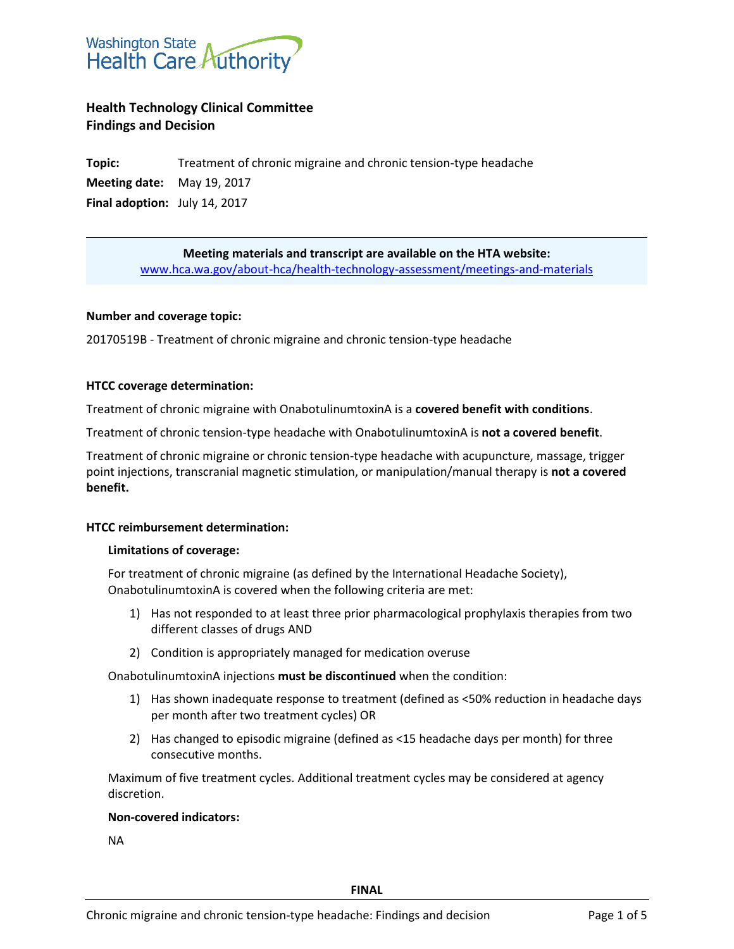

# **Health Technology Clinical Committee Findings and Decision**

**Topic:** Treatment of chronic migraine and chronic tension-type headache **Meeting date:** May 19, 2017 **Final adoption:** July 14, 2017

> **Meeting materials and transcript are available on the HTA website:** [www.hca.wa.gov/about-hca/health-technology-assessment/meetings-and-materials](http://www.hca.wa.gov/about-hca/health-technology-assessment/meetings-and-materials)

### **Number and coverage topic:**

20170519B - Treatment of chronic migraine and chronic tension-type headache

### **HTCC coverage determination:**

Treatment of chronic migraine with OnabotulinumtoxinA is a **covered benefit with conditions**.

Treatment of chronic tension-type headache with OnabotulinumtoxinA is **not a covered benefit**.

Treatment of chronic migraine or chronic tension-type headache with acupuncture, massage, trigger point injections, transcranial magnetic stimulation, or manipulation/manual therapy is **not a covered benefit.**

#### **HTCC reimbursement determination:**

#### **Limitations of coverage:**

For treatment of chronic migraine (as defined by the International Headache Society), OnabotulinumtoxinA is covered when the following criteria are met:

- 1) Has not responded to at least three prior pharmacological prophylaxis therapies from two different classes of drugs AND
- 2) Condition is appropriately managed for medication overuse

OnabotulinumtoxinA injections **must be discontinued** when the condition:

- 1) Has shown inadequate response to treatment (defined as <50% reduction in headache days per month after two treatment cycles) OR
- 2) Has changed to episodic migraine (defined as <15 headache days per month) for three consecutive months.

Maximum of five treatment cycles. Additional treatment cycles may be considered at agency discretion.

# **Non-covered indicators:**

NA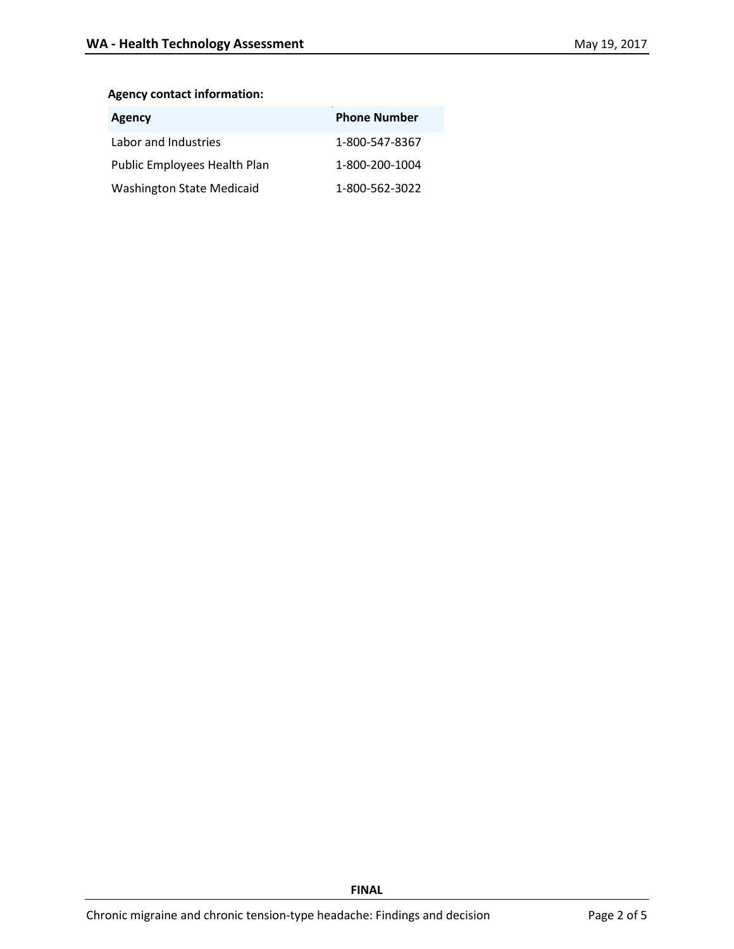# **Agency contact information:**

| Agency                           | <b>Phone Number</b> |
|----------------------------------|---------------------|
| Labor and Industries             | 1-800-547-8367      |
| Public Employees Health Plan     | 1-800-200-1004      |
| <b>Washington State Medicaid</b> | 1-800-562-3022      |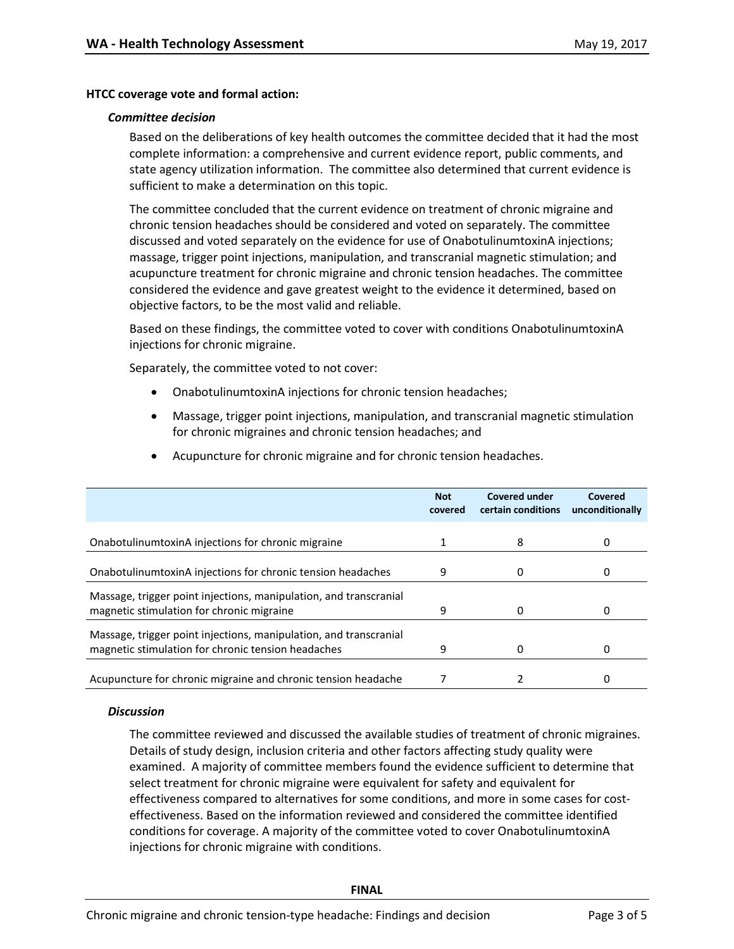#### **HTCC coverage vote and formal action:**

#### *Committee decision*

Based on the deliberations of key health outcomes the committee decided that it had the most complete information: a comprehensive and current evidence report, public comments, and state agency utilization information. The committee also determined that current evidence is sufficient to make a determination on this topic.

The committee concluded that the current evidence on treatment of chronic migraine and chronic tension headaches should be considered and voted on separately. The committee discussed and voted separately on the evidence for use of OnabotulinumtoxinA injections; massage, trigger point injections, manipulation, and transcranial magnetic stimulation; and acupuncture treatment for chronic migraine and chronic tension headaches. The committee considered the evidence and gave greatest weight to the evidence it determined, based on objective factors, to be the most valid and reliable.

Based on these findings, the committee voted to cover with conditions OnabotulinumtoxinA injections for chronic migraine.

Separately, the committee voted to not cover:

Massage, trigger point injections, manipulation, and transcranial

Massage, trigger point injections, manipulation, and transcranial

- OnabotulinumtoxinA injections for chronic tension headaches;
- Massage, trigger point injections, manipulation, and transcranial magnetic stimulation for chronic migraines and chronic tension headaches; and

|                                                             | <b>Not</b><br>covered | <b>Covered under</b><br>certain conditions | Covered<br>unconditionally |
|-------------------------------------------------------------|-----------------------|--------------------------------------------|----------------------------|
| OnabotulinumtoxinA injections for chronic migraine          |                       |                                            |                            |
| OnabotulinumtoxinA injections for chronic tension headaches | q                     |                                            |                            |

magnetic stimulation for chronic migraine 9 0 0

magnetic stimulation for chronic tension headaches 9 0 0

Acupuncture for chronic migraine and chronic tension headache  $\qquad \qquad 7$  2 0

Acupuncture for chronic migraine and for chronic tension headaches.

#### *Discussion*

The committee reviewed and discussed the available studies of treatment of chronic migraines. Details of study design, inclusion criteria and other factors affecting study quality were examined. A majority of committee members found the evidence sufficient to determine that select treatment for chronic migraine were equivalent for safety and equivalent for effectiveness compared to alternatives for some conditions, and more in some cases for costeffectiveness. Based on the information reviewed and considered the committee identified conditions for coverage. A majority of the committee voted to cover OnabotulinumtoxinA injections for chronic migraine with conditions.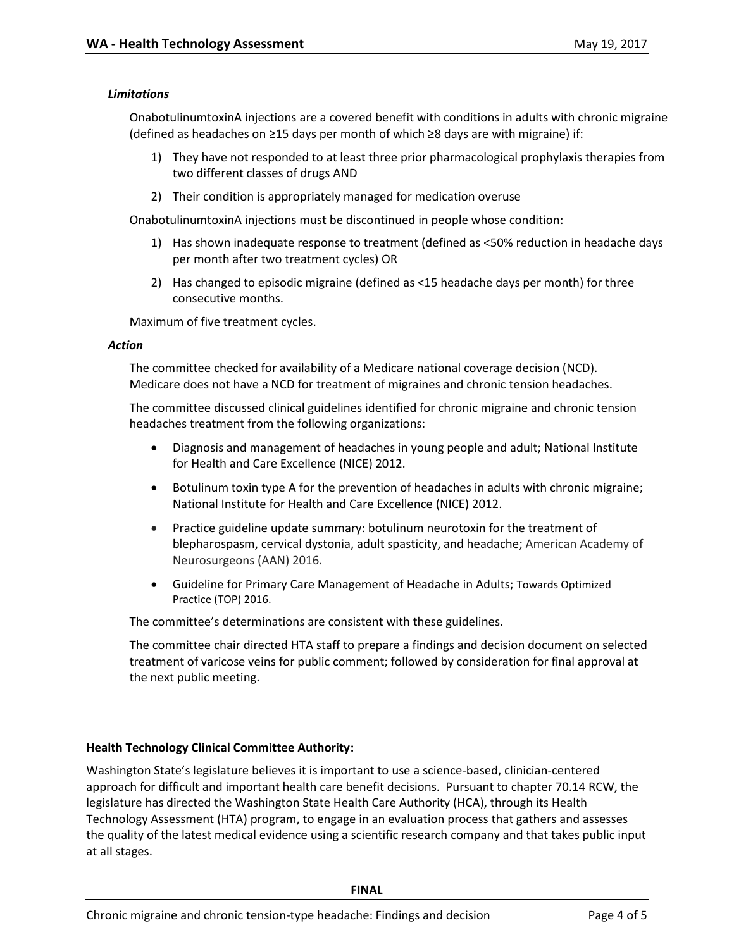## *Limitations*

OnabotulinumtoxinA injections are a covered benefit with conditions in adults with chronic migraine (defined as headaches on ≥15 days per month of which ≥8 days are with migraine) if:

- 1) They have not responded to at least three prior pharmacological prophylaxis therapies from two different classes of drugs AND
- 2) Their condition is appropriately managed for medication overuse

OnabotulinumtoxinA injections must be discontinued in people whose condition:

- 1) Has shown inadequate response to treatment (defined as <50% reduction in headache days per month after two treatment cycles) OR
- 2) Has changed to episodic migraine (defined as <15 headache days per month) for three consecutive months.

Maximum of five treatment cycles.

#### *Action*

The committee checked for availability of a Medicare national coverage decision (NCD). Medicare does not have a NCD for treatment of migraines and chronic tension headaches.

The committee discussed clinical guidelines identified for chronic migraine and chronic tension headaches treatment from the following organizations:

- Diagnosis and management of headaches in young people and adult; National Institute for Health and Care Excellence (NICE) 2012.
- Botulinum toxin type A for the prevention of headaches in adults with chronic migraine; National Institute for Health and Care Excellence (NICE) 2012.
- Practice guideline update summary: botulinum neurotoxin for the treatment of blepharospasm, cervical dystonia, adult spasticity, and headache; American Academy of Neurosurgeons (AAN) 2016.
- Guideline for Primary Care Management of Headache in Adults; Towards Optimized Practice (TOP) 2016.

The committee's determinations are consistent with these guidelines.

The committee chair directed HTA staff to prepare a findings and decision document on selected treatment of varicose veins for public comment; followed by consideration for final approval at the next public meeting.

#### **Health Technology Clinical Committee Authority:**

Washington State's legislature believes it is important to use a science-based, clinician-centered approach for difficult and important health care benefit decisions. Pursuant to chapter 70.14 RCW, the legislature has directed the Washington State Health Care Authority (HCA), through its Health Technology Assessment (HTA) program, to engage in an evaluation process that gathers and assesses the quality of the latest medical evidence using a scientific research company and that takes public input at all stages.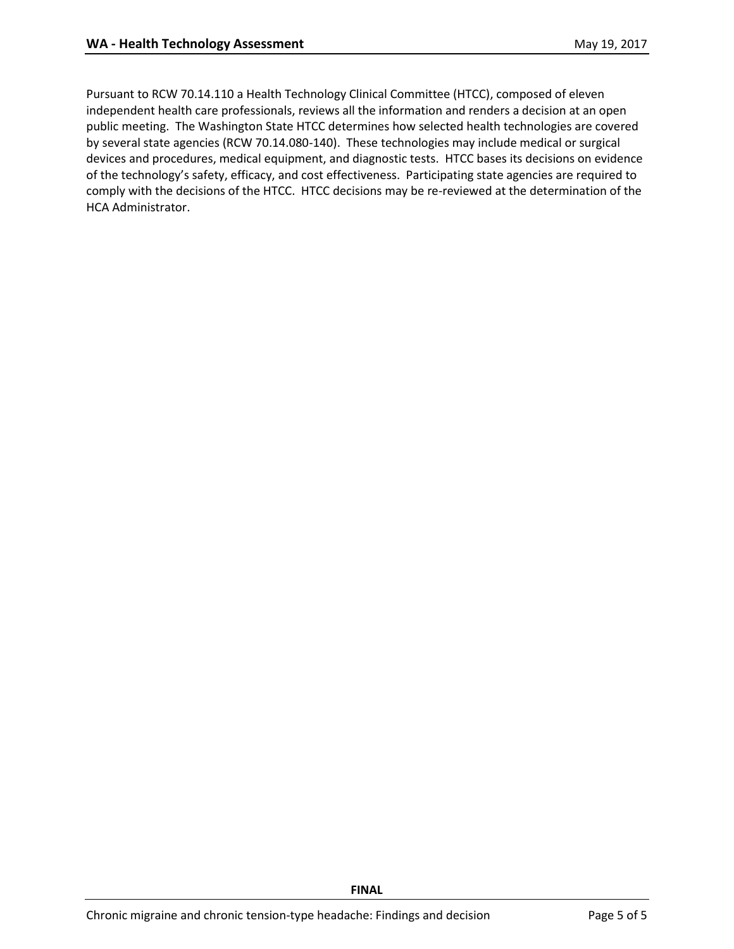Pursuant to RCW 70.14.110 a Health Technology Clinical Committee (HTCC), composed of eleven independent health care professionals, reviews all the information and renders a decision at an open public meeting. The Washington State HTCC determines how selected health technologies are covered by several state agencies (RCW 70.14.080-140). These technologies may include medical or surgical devices and procedures, medical equipment, and diagnostic tests. HTCC bases its decisions on evidence of the technology's safety, efficacy, and cost effectiveness. Participating state agencies are required to comply with the decisions of the HTCC. HTCC decisions may be re-reviewed at the determination of the HCA Administrator.